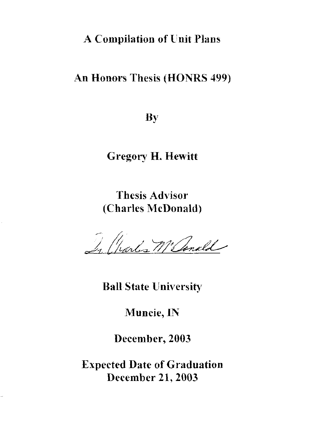#### A Compilation of Unit Plans

#### An Honors Thesis (HONRS 499)

By

Gregory H. Hewitt

Thesis Advisor (Charles McDonald)

In Charles M'Ionald

Ball State University

Muncie,1N

December, 2003

Expected Date of Graduation December 21, 2003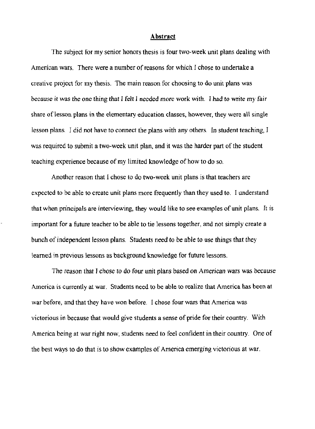#### Abstract

The subject for my senior honors thesis is four two-week unit plans dealing with American wars. There were a number of reasons for which I chose to undertake a creative project for my thesis. The main reason for choosing to do unit plans was because it was *the* one thing that I felt 1 needed more work with. I had to *write* my fair share of lesson plans in the elementary education classes, however, they were all single lesson plans. I did not have to connect the plans with any others. In student teaching, I was required to submit a two-week unit plan, and it was the harder part of the student teaching experience because of my limited knowledge of how to do so.

Another reason that I chose to do two-week unit plans is that teachers are expected to be able to create unit plans more frequently than they used to. I understand that when principals are interviewing, they would like to see examples of unit plans. It is important for a future teacher to be able to tie lessons together, and not simply create a bunch of independent lesson plans. Students need to be able to use things that they learned in previous lessons as background knowledge for future lessons.

The reason that T chose to do four unit plans based on American wars was because America is currently at war. Students need to be able to realize that America has been at war before, and that they have won before. I chose four wars that America was victorious in because that would give students a sense of pride for their country. With America being at war right now, students need to feel confident in their country. One of the best ways to do that is to show examples of America emerging victorious at war.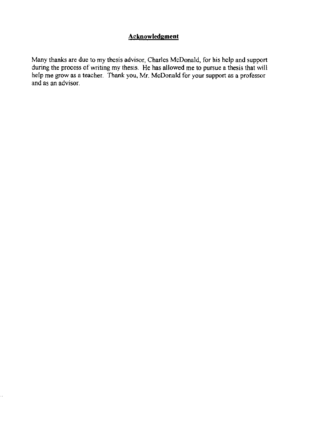#### **Acknowledgment**

Many thanks are due to my thesis advisor, Charles McDonald, for his help and support during the process of writing my thesis. He has allowed me to pursue a thesis that will help me grow as a teacher. Thank you, Mr. McDonald for your support as a professor and as an advisor.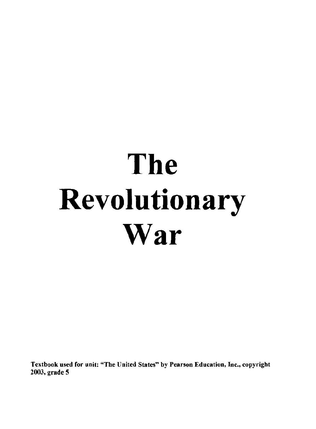# **The Revolutionary War**

Textbook used for unit: "The United States" by Pearson Education, Inc., copyright 2003, grade 5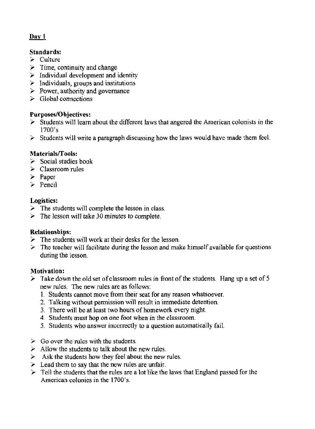#### $\mathbf{D}$ av 1

#### Standards:

- $\ge$  Culture
- $\triangleright$  Time, continuity and change
- $\triangleright$  Individual development and identity
- $\geq$  Individuals, groups and institutions
- $\geq$  Power, authority and governance
- $\triangleright$  Global connections

#### Purposes/Objectives:

- $\geq$  Students will learn about the different laws that angered the American colonists in the 1700's
- $\geq$  Students will write a paragraph discussing how the laws would have made them feel.

#### Materials/Tools:

- $\geq$  Social studies book
- $\ge$  Classroom rules
- $\triangleright$  Paper
- $\geq$  Pencil

#### Logistics:

- $\geq$  The students will complete the lesson in class.
- $\triangleright$  The lesson will take 30 minutes to complete.

#### Relationships:

- $\geq$  The students will work at their desks for the lesson.
- $\geq$  The teacher will facilitate during the lesson and make himself available for questions during the lesson.

#### Motivation:

- $\geq$  Take down the old set of classroom rules in front of the students. Hang up a set of 5 new rules. The new rules are as follows:
	- 1. Students cannot move from their seat for any reason whatsoever.
	- 2. Talking without permission will result in immediate detention.
	- 3. There will be at least two hours of homework every night.
	- 4. Students must hop on one foot when in the classroom.
	- 5. Students who answer incorrectly to a question automatically fail.
- $\geq$  Go over the rules with the students.
- $\geq$  Allow the students to talk about the new rules.
- $\triangleright$  Ask the students how they feel about the new rules.
- $\geq$  Lead them to say that the new rules are unfair.
- $\triangleright$  Tell the students that the rules are a lot like the laws that England passed for the American colonies in the 1700's.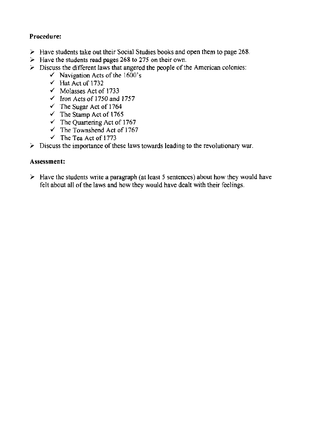#### **Procedure:**

- **". Have students take out their Social Studies books and open them to page** 268 .
- **EXECUTE:** Have the students read pages 268 to 275 on their own.
- **., Discuss the different laws that angered the people** of the **American colonies:** 
	- **./ Navigation Acts** of the **1600's**
	- $\checkmark$  Hat Act of 1732
	- $\checkmark$  Molasses Act of 1733
	- $\checkmark$  Iron Acts of 1750 and 1757
	- $\checkmark$  The Sugar Act of 1764
	- $\checkmark$  The Stamp Act of 1765
	- $\checkmark$  The Quartering Act of 1767
	- $\checkmark$  The Townshend Act of 1767
	- $\checkmark$  The Tea Act of 1773
- **EXECUTE:** Discuss the importance of these laws towards leading to the revolutionary war.

#### **Assessment:**

**EXECUTE:** Have the students write a paragraph (at least 5 sentences) about how they would have **felt about all** of the **laws and how they would have dealt with their feelings.**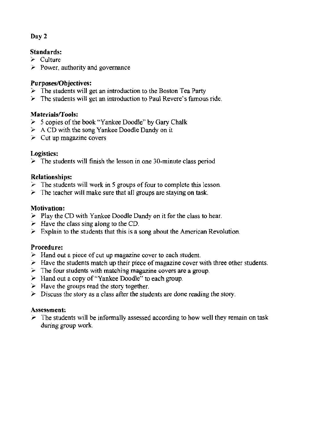#### Standards:

- $\geq$  Culture
- $\geq$  Power, authority and governance

#### Purposes/Objectives:

- $\geq$  The students will get an introduction to the Boston Tea Party
- $\triangleright$  The students will get an introduction to Paul Revere's famous ride.

#### Materials/Tools:

- $>$  5 copies of the book "Yankee Doodle" by Gary Chalk
- $\triangleright$  A CD with the song Yankee Doodle Dandy on it
- $\geq$  Cut up magazine covers

#### Logistics:

 $\geq$  The students will finish the lesson in one 30-minute class period

#### Relationships:

- $\geq$  The students will work in 5 groups of four to complete this lesson.
- $\geq$  The teacher will make sure that all groups are staying on task.

#### Motivation:

- $\blacktriangleright$  Play the CD with Yankee Doodle Dandy on it for the class to hear.
- $\geq$  *Have the class sing along to the CD.*
- $\geq$  Explain to the students that this is a song about the American Revolution.

#### Procedure:

- $\triangleright$  Hand out a piece of cut up magazine cover to each student.
- $\geq$  Have the students match up their piece of magazine cover with three other students.
- $\geq$  The four students with matching magazine covers are a group.
- $\geq$  Hand out a copy of "Yankee Doodle" to each group.
- $\geq$  Have the groups read the story together.
- $\geq$  Discuss the story as a class after the students are done reading the story.

#### Assessment:

 $\geq$  The students will be informally assessed according to how well they remain on task during group work.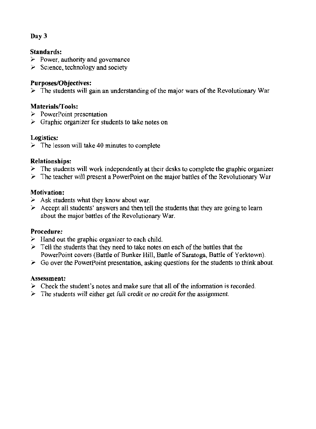#### Standards:

- $\geq$  Power, authority and governance
- $\triangleright$  Science, technology and society

#### Purposes/Objectives:

*y* The students will gain an understanding of the major wars of the Revolutionary War

#### Materials/Tools:

- $\triangleright$  PowerPoint presentation
- $\geq$  Graphic organizer for students to take notes on

#### Logistics:

 $\geq$  The lesson will take 40 minutes to complete

#### Relationships:

- $\geq$  The students will work independently at their desks to complete the graphic organizer
- $\geq$  The teacher will present a PowerPoint on the major battles of the Revolutionary War

#### Motivation:

- $\geq$  Ask students what they know about war.
- $\geq$  Accept all students' answers and then tell the students that they are going to learn about the major battles of the Revolutionary War.

#### Procedure:

- $\geq$  Hand out the graphic organizer to each child.
- $\geq$  Tell the students that they need to take notes on each of the battles that the PowerPoint covers (Battle of Bunker Hill. Battle of Saratoga, Battle of Yorktown).
- $\geq$  Go over the PowerPoint presentation, asking questions for the students to think about.

#### Assessment:

- $\geq$  Check the student's notes and make sure that all of the information is recorded.
- $\geq$  The students will either get full credit or no credit for the assignment.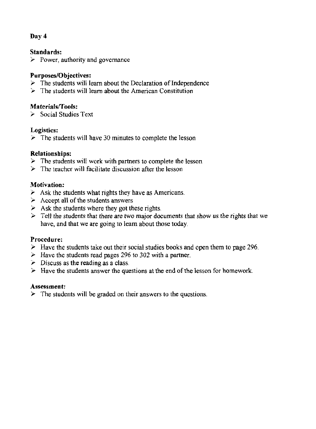#### Standards:

 $\triangleright$  Power, authority and governance

#### Purposes/Objectives:

- $\geq$  The students will learn about the Declaration of Independence
- $\triangleright$  The students will learn about the American Constitution

#### Materials/Tools:

 $\geq$  Social Studies Text

#### Logistics:

 $\geq$  The students will have 30 minutes to complete the lesson

#### Relationships:

- -, The students will work with partners to complete *the* lesson
- $\geq$  The teacher will facilitate discussion after the lesson

#### Motivation:

- $\geq$  Ask the students what rights they have as Americans.
- $\geq$  Accept all of the students answers
- $\geq$  Ask the students where they got these rights.
- $\geq$  Tell the students that there are two major documents that show us the rights that we have, and that we are going to learn about those today,

#### Procedure:

- $\geq$  Have the students take out their social studies books and open them to page 296.
- $\geq$  Have the students read pages 296 to 302 with a partner.
- $\triangleright$  Discuss as the reading as a class.
- $\blacktriangleright$  Have the students answer the questions at the end of the lesson for homework.

#### Assessment:

 $\triangleright$  The students will be graded on their answers to the questions.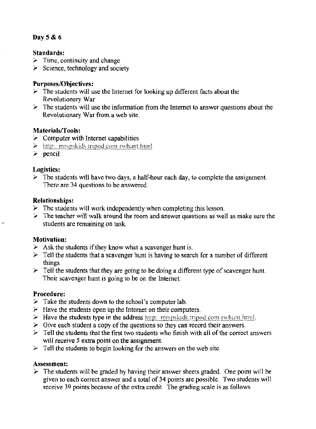#### Day  $5 & 6$

#### Standards:

- $\geq$  Time, continuity and change
- $\geq$  Science, technology and society

#### **Purposes/Objectives:**

- $\triangleright$  The students will use the Internet for looking up different facts about the Revolutionary War
- $\triangleright$  The students will use the information from the Internet to answer questions about the Revolutionary War from a web site.

#### Materials/Tools:

- $\geq$  Computer with Internet capabilities
- $\geq$  http: mrspskids.tripod.com rwhunt.html
- $\ge$  pencil

#### Logistics:

 $\triangleright$  The students will have two days, a half-hour each day, to complete the assignment. There are 34 questions to be answered.

#### **Relationships:**

- $\triangleright$  The students will work independently when completing this lesson.
- $\geq$  The teacher will walk around the room and answer questions as well as make sure the students are remaining on task.

#### **Motivation:**

- $\geq$  Ask the students if they know what a scavenger hunt is.
- $\triangleright$  Tell the students that a scavenger hunt is having to search for a number of different things.
- $\geq$  Tell the students that they are going to be doing a different type of scavenger hunt. Their scavenger hunt is going to be on the Internet.

#### Procedure:

- $\triangleright$  Take the students down to the school's computer lab.
- $\triangleright$  Have the students open up the Internet on their computers.
- > Have the students type in the address http://mrspskids.tripod.com/rwhunt.html.
- $\triangleright$  Give each student a copy of the questions so they can record their answers.
- $\triangleright$  Tell the students that the first two students who finish with all of the correct answers will receive 5 extra point on the assignment.
- $\triangleright$  Tell the students to begin looking for the answers on the web site.

#### Assessment:

 $\triangleright$  The students will be graded by having their answer sheets graded. One point will be given to each correct answer and a total of 34 points are possible. Two students will receive 39 points because of the extra credit. The grading scale is as follows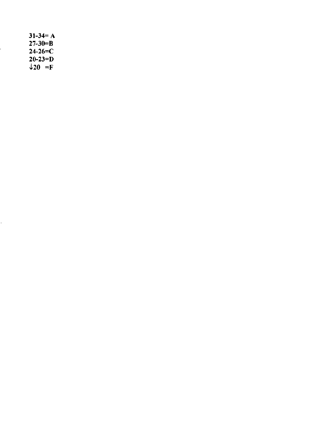$31-34=A$  $27 - 30 = B$  $24 - 26 = C$  $20 - 23 = D$  $\downarrow$ 20 =F

 $\overline{\phantom{a}}$ 

÷,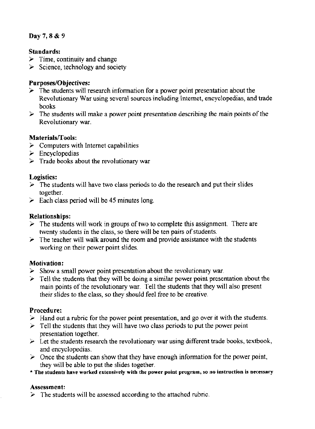#### Day 7, 8 & 9

#### Standards:

- $\geq$  Time, continuity and change
- $\geq$  Science, technology and society

#### Purposes/Objectives:

- $\geq$  The students will research information for a power point presentation about the Revolutionary War using several sources including Internet, encyclopedias, and trade books
- $\geq$  The students will make a power point presentation describing the main points of the Revolutionary war.

#### Materials/Tools:

- $\geq$  Computers with Internet capabilities
- $\blacktriangleright$  Encyclopedias
- $\triangleright$  Trade books about the revolutionary war

#### Logistics:

- $\geq$  The students will have two class periods to do the research and put their slides together.
- $\geq$  Each class period will be 45 minutes long.

#### Relationships:

- $\geq$  The students will work in groups of two to complete this assignment. There are twenty students in the class, so there will be ten pairs of students.
- $\geq$  The teacher will walk around the room and provide assistance with the students working on their power point slides.

#### Motivation:

- $\geq$  Show a small power point presentation about the revolutionary war.
- $\geq$  Tell the students that they will be doing a similar power point presentation about the main points of the revolutionary war. Tell the students that they will also present their slides to the class, so they should feel free to be creative.

#### Procedure:

- $\geq$  Hand out a rubric for the power point presentation, and go over it with the students.
- $\geq$  Tell the students that they will have two class periods to put the power point presentation together.
- $\triangleright$  Let the students research the revolutionary war using different trade books, textbook, and encyclopedias.
- ,. Once the students can show that they have enough information for the power *point,*  they will be able to put the slides together.
- \* The students have worked extensively with the power point program, so no instruction is necessary

#### Assessment:

 $\triangleright$  The students will be assessed according to the attached rubric.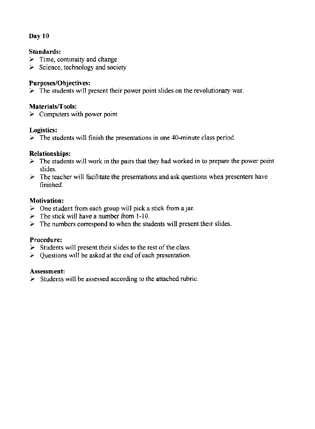#### Standards:

- $\geq$  Time, continuity and change
- $\geq$  Science, technology and society

#### Purposes/Objectives:

 $\geq$  The students will present their power point slides on the revolutionary war.

#### Materials/Tools:

 $\geq$  Computers with power point

#### Logistics:

 $\geq$  The students will finish the presentations in one 40-minute class period.

#### Relationships:

- $\geq$  The students will work in the pairs that they had worked in to prepare the power point slides.
- $\triangleright$  The teacher will facilitate the presentations and ask questions when presenters have finished.

#### Motivation:

- $\geq$  One student from each group will pick a stick from a jar.
- $\ge$  The stick will have a number from 1-10.
- $\geq$  The numbers correspond to when the students will present their slides.

#### Procedure:

- $\triangleright$  Students will present their slides to the rest of the class.
- $\geq$  Questions will be asked at the end of each presentation.

#### Assessment:

 $\geq$  Students will be assessed according to the attached rubric.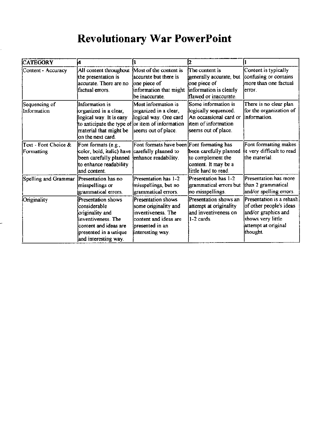#### Revolutionary War PowerPoint

| <b>CATEGORY</b>                    | k                                                                                                                                                                     | I3                                                                                                                               |                                                                                                                     |                                                                                                                                    |
|------------------------------------|-----------------------------------------------------------------------------------------------------------------------------------------------------------------------|----------------------------------------------------------------------------------------------------------------------------------|---------------------------------------------------------------------------------------------------------------------|------------------------------------------------------------------------------------------------------------------------------------|
| Content - Accuracy                 | All content throughout<br>the presentation is<br>accurate. There are no<br>lfactual errors.                                                                           | Most of the content is<br>accurate but there is<br>one piece of<br>information that might<br>lbe inaccurate.                     | The content is<br>generally accurate, but<br>one piece of<br>information is clearly<br>flawed or inaccurate.        | Content is typically<br>confusing or contains<br>more than one factual<br>lerror.                                                  |
| Sequencing of<br>Information       | Information is<br>organized in a clear,<br>logical way. It is easy<br>to anticipate the type of or item of information<br>material that might be<br>on the next card. | Most information is<br>organized in a clear,<br>logical way. One card<br>seems out of place.                                     | Some information is<br>logically sequenced.<br>An occassional card or<br>item of information<br>seems out of place. | There is no clear plan<br>for the organization of<br>linformation.                                                                 |
| Text - Font Choice &<br>Formatting | Font formats (e.g.,<br>color, bold, italic) have carefully planned to<br>been carefully planned<br>to enhance readability<br>land content.                            | Font formats have been Font formating has<br>enhance readability.                                                                | been carefully planned<br>to complement the<br>content. It may be a<br>llittle hard to read.                        | Font formatting makes<br>it very difficult to read<br>lthe material.                                                               |
| Spelling and Grammar               | Presentation has no<br>misspellings or<br>grammatical errors.                                                                                                         | Presentation has 1-2<br>misspellings, but no<br>grammatical errors.                                                              | Presentation has 1-2<br>grammatical errors but<br>no misspellings.                                                  | Presentation has more<br>than 2 grammatical<br>and/or spelling errors.                                                             |
| Originality                        | Presentation shows<br>lconsiderable<br>originality and<br>anventiveness. The<br>content and ideas are<br>presented in a unique<br>and interesting way.                | Presentation shows<br>some originality and<br>inventiveness. The<br>content and ideas are<br>presented in an<br>interesting way. | Presentation shows an<br>attempt at originality<br>and inventiveness on<br>$1-2$ cards.                             | Presentation is a rehash<br>of other people's ideas<br>and/or graphics and<br>shows very little<br>attempt at original<br>thought. |

-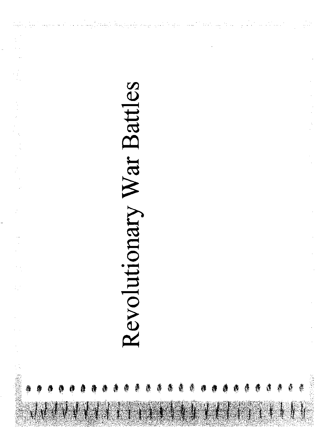# Revolutionary War Battles

أكاست التابك فالمراريخ والجارف بالرهاف فرقيته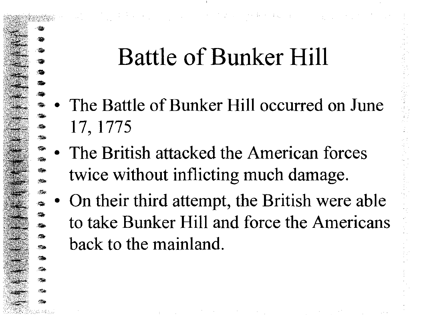# **Battle of Bunker Hill**

 $\mathcal{L}^{\text{max}}_{\text{max}}$  , the following properties of  $\mathcal{L}^{\text{max}}_{\text{max}}$ 

- The Battle of Bunker Hill occurred on June 17, 1775
- The British attacked the American forces twice without inflicting much damage.
- On their third attempt, the British were able to take Bunker Hill and force the Americans back to the mainland.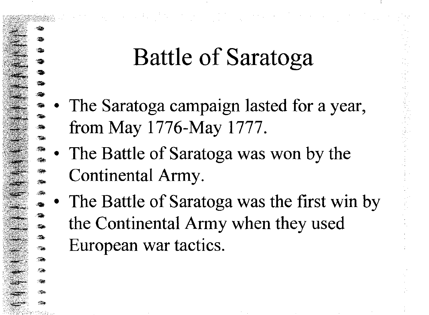### **Battle of Saratoga**

The Saratoga campaign lasted for a year, from May 1776-May 1777.

医单元 机活塞 计分类

- The Battle of Saratoga was won by the Continental Army.
- The Battle of Saratoga was the first win by the Continental Army when they used European war tactics.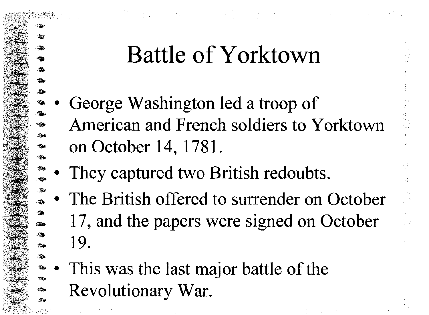# 使用的现在分词 医心包 医心包的 医无线性 医心包 医心包 医心包的

## **Battle of Yorktown**

- .. **(参考)** - ' .  $...$   $\frac{1}{2}$   $\frac{1}{2}$ • '. - George Washington led a troop of American and French soldiers to Yorktown on October 14, 1781.
	- They captured two British redoubts.

'iii> **等** ::ill> • . '

..

<sup>1</sup>'110

 $\bullet$ 

- $\sim$ • The British offered to surrender on October ,. lilt  $\frac{1}{\sqrt{2}}$ 17, and the papers were signed on October 19.
- $\;$   $\;$ '1li> ·I~- ,~ This was the last major battle of the Revolutionary War.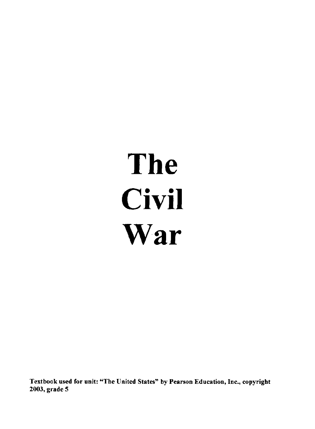# **The Civil War**

Textbook used for unit: '"The United States" by Pearson Education, Inc., copyright 2003, grade 5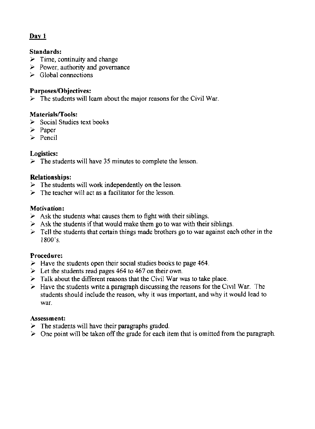#### **Standards:**

- $\geq$  Time, continuity and change
- $\geq$  Power, authority and governance
- $\geq$  Global connections

#### **Purposes/Objectives:**

 $\triangleright$  The students will learn about the major reasons for the Civil War.

#### **Materials/Tools:**

- $\geq$  Social Studies text books
- > Paper
- >- Pencil

#### **Logistics:**

 $\geq$  The students will have 35 minutes to complete the lesson.

#### **Relationships:**

- $\triangleright$  The students will work independently on the lesson.
- $\geq$  The teacher will act as a facilitator for the lesson.

#### **Motivation:**

- $\geq$  Ask the students what causes them to fight with their siblings.
- $\geq$  Ask the students if that would make them go to war with their siblings.
- $\geq$  Tell the students that certain things made brothers go to war against each other in the 1800's,

#### **Procedure:**

- $\geq$  Have the students open their social studies books to page 464.
- $\geq$  Let the students read pages 464 to 467 on their own.
- $\geq$  Talk about the different reasons that the Civil War was to take place.
- $\geq$  Have the students write a paragraph discussing the reasons for the Civil War. The students should include the reason, why it was important, and why it would lead to war.

#### **Assessment:**

- $\geq$  The students will have their paragraphs graded.
- $\geq$  One point will be taken off the grade for each item that is omitted from the paragraph.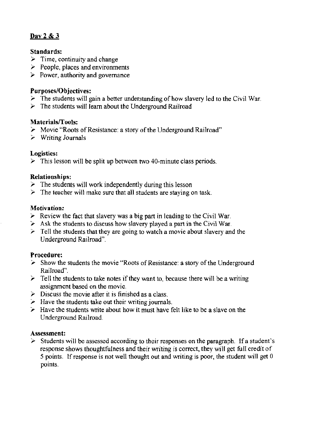#### Day 2 & 3

#### Standards:

- $\geq$  Time, continuity and change
- $\geq$  People, places and environments
- $\triangleright$  Power, authority and governance

#### Purposes/Objectives:

- $\triangleright$  The students will gain a better understanding of how slavery led to the Civil War.
- $\triangleright$  The students will learn about the Underground Railroad

#### Materials/Tools:

- > Movie "Roots of Resistance: a story of the Underground Railroad"
- $\geq$  Writing Journals

#### Logistics:

 $\triangleright$  This lesson will be split up between two 40-minute class periods.

#### Relationships:

- $\geq$  The students will work independently during this lesson
- $\geq$  The teacher will make sure that all students are staying on task.

#### Motivation:

- $\triangleright$  Review the fact that slavery was a big part in leading to the Civil War.
- *y* Ask the students to discuss how slavery played a part in the Civil War.
- $\geq$  Tell the students that they are going to watch a movie about slavery and the Underground Railroad".

#### Procedure:

- $\geq$  Show the students the movie "Roots of Resistance: a story of the Underground Railroad".
- $\geq$  Tell the students to take notes if they want to, because there will be a writing assignment based on the movie.
- $\triangleright$  Discuss the movie after it is finished as a class.
- $\geq$  Have the students take out their writing journals.
- $\geq$  Have the students write about how it must have felt like to be a slave on the Underground Railroad.

#### Assessment:

 $\geq$  Students will be assessed according to their responses on the paragraph. If a student's response shows thoughtfulness and their writing is correct, they will get full credit of 5 points. If response is not well thought out and writing is poor, the student will get  $0$ points.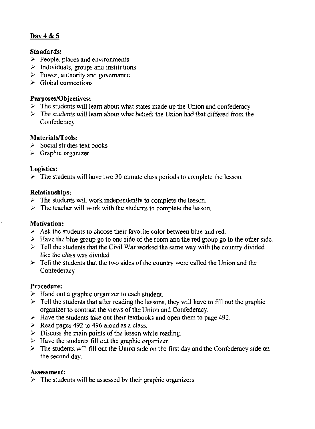#### Day 4 & 5

#### Standards:

- $\geq$  People, places and environments
- $\geq$  Individuals, groups and institutions
- $\geq$  Power, authority and governance
- $\geq$  Global connections

#### Purposes/Objectives:

- $\triangleright$  The students will learn about what states made up the Union and confederacy
- $\triangleright$  The students will learn about what beliefs the Union had that differed from the **Confederacy**

#### Materials/Tools:

- $\geq$  Social studies text books
- $\geq$  Graphic organizer

#### Logistics:

 $\geq$  The students will have two 30 minute class periods to complete the lesson.

#### Relationships:

- $\geq$  The students will work independently to complete the lesson.
- $\geq$  The teacher will work with the students to complete the lesson.

#### Motivation:

- $\geq$  Ask the students to choose their favorite color between blue and red.
- $\geq$  Have the blue group go to one side of the room and the red group go to the other side.
- $\geq$  Tell the students that the Civil War worked the same way with the country divided like the class was divided.
- $\geq$  Tell the students that the two sides of the country were called the Union and the **Confederacy**

#### Procedure:

- $\geq$  Hand out a graphic organizer to each student.
- $\geq$  Tell the students that after reading the lessons, they will have to fill out the graphic organizer to contrast the views of the Union and Confederacy.
- $\geq$  Have the students take out their textbooks and open them to page 492.
- $\geq$  Read pages 492 to 496 aloud as a class.
- $\triangleright$  Discuss the main points of the lesson while reading.
- $\triangleright$  Have the students fill out the graphic organizer.
- $\geq$  The students will fill out the Union side on the first day and the Confederacy side on the second day.

#### Assessment:

 $\triangleright$  The students will be assessed by their graphic organizers.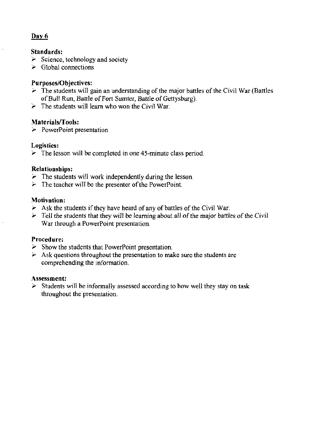#### Dav 6

#### Standards:

- $\geq$  Science, technology and society
- $\geq$  Global connections

#### Purposes/Objectives:

- $\geq$  The students will gain an understanding of the major battles of the Civil War (Battles of Bull Run, Battle of Fort Sumter, Battle of Gettysburg).
- $\geq$  The students will learn who won the Civil War.

#### Materials/Tools:

 $\triangleright$  PowerPoint presentation

#### Logistics:

 $\geq$  The lesson will be completed in one 45-minute class period.

#### Relationships:

- $\geq$  The students will work independently during the lesson.
- $\triangleright$  The teacher will be the presenter of the PowerPoint.

#### Motivation:

- $\geq$  Ask the students if they have heard of any of battles of the Civil War.
- ,. Tell the students that they will be learning about all of the major battles of the *Civil*  War through a PowerPoint presentation.

#### Procedure:

- $\geq$  Show the students that PowerPoint presentation.
- $\geq$  Ask questions throughout the presentation to make sure the students are comprehending the information,

#### Assessment:

 $\geq$  Students will be informally assessed according to how well they stay on task throughout the presentation.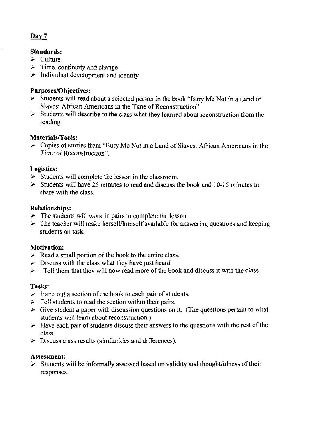#### Standards:

- $\geq$  Culture
- $\geq$  Time, continuity and change
- $\geq$  Individual development and identity

#### Purposes/Objectives:

- $\triangleright$  Students will read about a selected person in the book "Bury Me Not in a Land of Slaves: African Americans in the Time of Reconstruction" .
- $\triangleright$  Students will describe to the class what they learned about reconstruction from the reading

#### Materials/Tools:

 $\geq$  Copies of stories from "Bury Me Not in a Land of Slaves: African Americans in the Time of Reconstruction".

#### Logistics:

- $\geq$  Students will complete the lesson in the classroom.
- $\geq$  Students will have 25 minutes to read and discuss the book and 10-15 minutes to share with the class.

#### Relationships:

- $\geq$  The students will work in pairs to complete the lesson.
- $\triangleright$  The teacher will make herself/himself available for answering questions and keeping students on task.

#### Motivation:

- $\geq$  Read a small portion of the book to the entire class.
- $\geq$  Discuss with the class what they have just heard.
- $\geq$  Tell them that they will now read more of the book and discuss it with the class.

#### Tasks:

- $\geq$  Hand out a section of the book to each pair of students.
- $\ge$  Tell students to read the section within their pairs.
- $\triangleright$  Give student a paper with discussion questions on it. (The questions pertain to what students will learn about reconstruction.)
- $\geq$  Have each pair of students discuss their answers to the questions with the rest of the class.
- > Discuss class results (similarities and differences).

#### Assessment:

 $\geq$  Students will be informally assessed based on validity and thoughtfulness of their responses.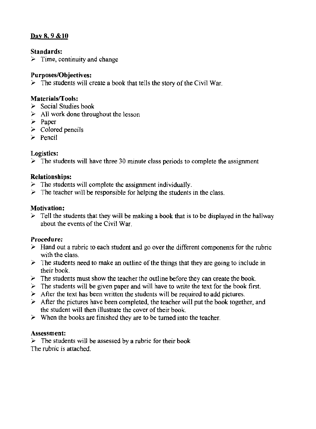#### Day 8, 9 &10

#### Standards:

 $\geq$  Time, continuity and change

#### Purposes/Objectives:

 $\triangleright$  The students will create a book that tells the story of the Civil War.

#### Materials/Tools:

- $\geq$  Social Studies book
- $\geq$  All work done throughout the lesson
- $\geq$  Paper
- $\triangleright$  Colored pencils
- $\ge$  Pencil

#### Logistics:

 $\geq$  The students will have three 30 minute class periods to complete the assignment

#### Relationships:

- $\triangleright$  The students will complete the assignment individually.
- $\geq$  The teacher will be responsible for helping the students in the class.

#### Motivation:

 $\triangleright$  Tell the students that they will be making a book that is to be displayed in the hallway about the events of the Civil War.

#### Procedure:

- $\geq$  Hand out a rubric to each student and go over the different components for the rubric with the class.
- $\geq$  The students need to make an outline of the things that they are going to include in their book.
- $\geq$  The students must show the teacher the outline before they can create the book.
- $\geq$  The students will be given paper and will have to write the text for the book first.
- $\geq$  After the text has been written the students will be required to add pictures.
- $\geq$  After the pictures have been completed, the teacher will put the book together, and the student will then illustrate the cover of their book.
- $\geq$  When the books are finished they are to be turned into the teacher.

#### Assessment:

 $\geq$  The students will be assessed by a rubric for their book The rubric is attached.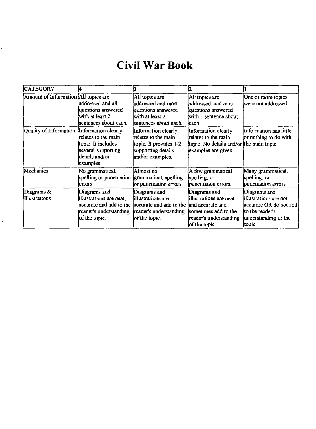#### Civil War Book

| <b>CATEGORY</b>                            |                                                                                                |                                                                                                                                                   |                                                                                                               |                                                                                                                       |
|--------------------------------------------|------------------------------------------------------------------------------------------------|---------------------------------------------------------------------------------------------------------------------------------------------------|---------------------------------------------------------------------------------------------------------------|-----------------------------------------------------------------------------------------------------------------------|
| Amount of Information All topics are       | addressed and all<br>questions answered<br>with at least 2<br>sentences about each.            | All topics are<br>addressed and most<br>questions answered<br>with at least 2<br>sentences about each.                                            | All topics are<br>addressed, and most<br>questions answered<br>with 1 sentence about<br>leach.                | One or more topics<br>were not addressed.                                                                             |
| Quality of Information Information clearly | relates to the main<br>topic. It includes<br>several supporting<br>details and/or<br>examples. | Information clearly<br>relates to the main<br>topic. It provides 1-2<br>supporting details<br>and/or examples.                                    | Information clearly<br>relates to the main<br>topic. No details and/or the main topic.<br>examples are given. | Information has little<br>or nothing to do with                                                                       |
| Mechanics                                  | No grammatical,<br>spelling or punctuation (grammatical, spelling<br>errors.                   | Almost no<br>or punctuation errors                                                                                                                | A few grammatical<br>spelling, or<br>punctuation errors.                                                      | Many grammatical,<br>spelling, or<br>punctuation errors.                                                              |
| Diagrams $\&$<br>Illustrations             | Diagrams and<br>illustrations are neat,<br>reader's understanding<br>of the topic.             | Diagrams and<br>illustrations are<br>accurate and add to the accurate and add to the land accurate and<br>reader's understanding<br>of the topic. | Diagrams and<br>lillustrations are neat<br>sometimes add to the<br>reader's understanding<br>of the topic.    | Diagrams and<br>illustrations are not<br>accurate OR do not add<br>Ito the reader's<br>understanding of the<br>topic. |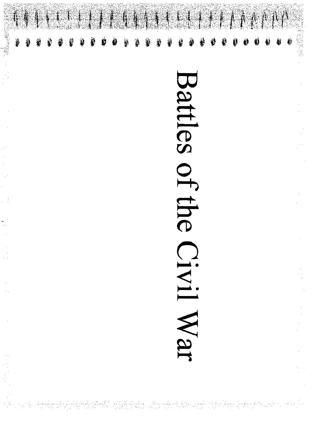

# Battles of the CIVII War

 $\frac{1}{1}$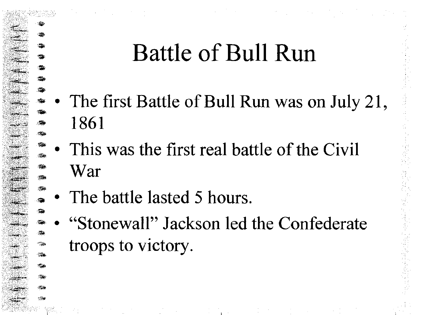# **Battle of Bull Run**

- The first Battle of Bull Run was on July 21, 1861
- This was the first real battle of the Civil War
- The battle lasted 5 hours.
- "Stonewall" Jackson led the Confederate troops to victory.

 $\frac{1}{2} \sum_{i=1}^n \frac{1}{2} \sum_{i=1}^n \frac{1}{2} \sum_{i=1}^n \frac{1}{2} \sum_{i=1}^n \frac{1}{2} \sum_{i=1}^n \frac{1}{2} \sum_{i=1}^n \frac{1}{2} \sum_{i=1}^n \frac{1}{2} \sum_{i=1}^n \frac{1}{2} \sum_{i=1}^n \frac{1}{2} \sum_{i=1}^n \frac{1}{2} \sum_{i=1}^n \frac{1}{2} \sum_{i=1}^n \frac{1}{2} \sum_{i=1}^n \frac{1}{2} \sum_{i=$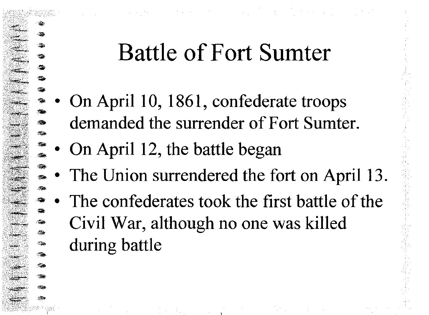# **Battle of Fort Sumter**

- On April 10, 1861, confederate troops demanded the surrender of Fort Sumter.
- On April 12, the battle began
- The Union surrendered the fort on April 13.
- The confederates took the first battle of the Civil War, although no one was killed during battle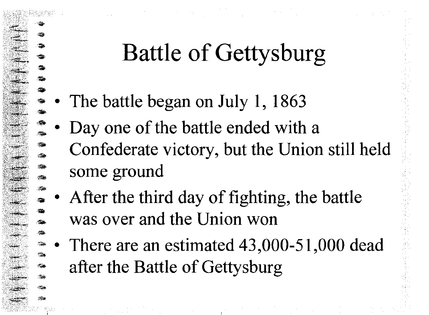# **Battle of Gettysburg**

- The battle began on July 1, 1863
- Day one of the battle ended with a Confederate victory, but the Union still held some ground
- After the third day of fighting, the battle was over and the Union won
- There are an estimated 43,000-51,000 dead after the Battle of Gettysburg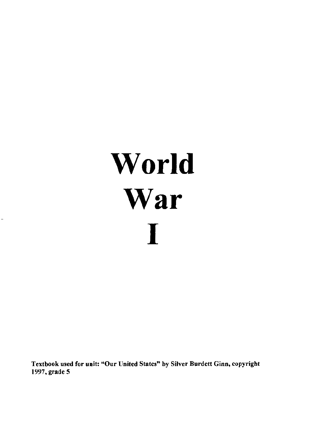# **World War**  I

**Textbook used for unit: "Our United States" by Silver Burdett Ginn, copyright**  1997, grade 5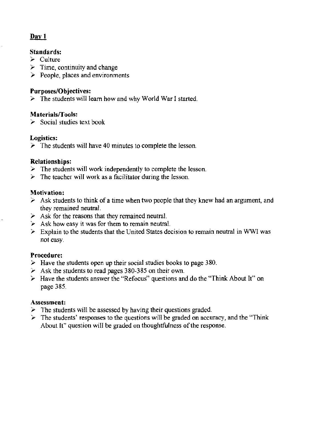#### Dav 1

#### Standards:

- $\geq$  Culture
- $\geq$  Time, continuity and change
- $\geq$  People, places and environments

#### Purposes/Objectives:

 $\geq$  The students will learn how and why World War I started.

#### Materials/Tools:

 $\geq$  Social studies text book

#### Logistics:

 $\geq$  The students will have 40 minutes to complete the lesson.

#### Relationships:

- $\geq$  The students will work independently to complete the lesson.
- $\triangleright$  The teacher will work as a facilitator during the lesson.

#### Motivation:

- $\geq$  Ask students to think of a time when two people that they knew had an argument, and they remained neutral.
- $\geq$  Ask for the reasons that they remained neutral.
- $\blacktriangleright$  Ask how easy it was for them to remain neutral.
- $\geq$  Explain to the students that the United States decision to remain neutral in WWI was not easy.

#### Procedure:

- $\blacktriangleright$  Have the students open up their social studies books to page 380.
- $\geq$  Ask the students to read pages 380-385 on their own.
- $\triangleright$  Have the students answer the "Refocus" questions and do the "Think About It" on page 385.

#### Assessment:

- $\geq$  The students will be assessed by having their questions graded.
- $\triangleright$  The students' responses to the questions will be graded on accuracy, and the "Think" About It" question will be graded on thoughtfulness of the response.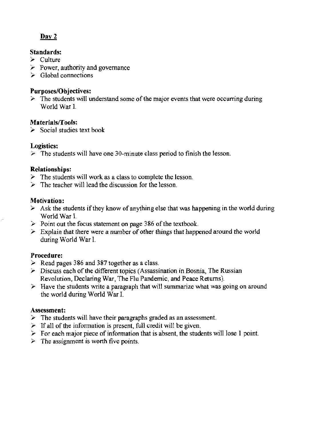#### Standards:

- $\ge$  Culture
- $\geq$  Power, authority and governance
- $\geq$  Global connections

#### **Purposes/Objectives:**

 $\geq$  The students will understand some of the major events that were occurring during World War I.

#### Materials/Tools:

 $\geq$  Social studies text book

#### Logistics:

 $\geq$  The students will have one 30-minute class period to finish the lesson.

#### Relationships:

- $\geq$  The students will work as a class to complete the lesson.
- $\geq$  The teacher will lead the discussion for the lesson.

#### Motivation:

- $\triangleright$  Ask the students if they know of anything else that was happening in the world during World War I.
- $\ge$  Point out the focus statement on page 386 of the textbook.
- $\geq$  Explain that there were a number of other things that happened around the world during World War 1.

#### Procedure:

- $\geq$  Read pages 386 and 387 together as a class.
- $\triangleright$  Discuss each of the different topics (Assassination in Bosnia, The Russian Revolution, Declaring War, The Flu Pandemic, and Peace Returns).
- $\triangleright$  Have the students write a paragraph that will summarize what was going on around the world during World War L

#### Assessment:

- $\geq$  The students will have their paragraphs graded as an assessment.
- $\geq$  If all of the information is present, full credit will be given.
- $\triangleright$  For each major piece of information that is absent, the students will lose 1 point.
- $\triangleright$  The assignment is worth five points.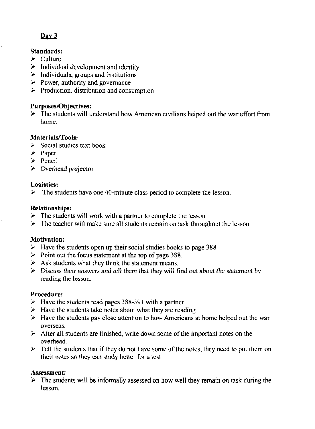#### **Standards:**

- $\geq$  Culture
- $\geq$  Individual development and identity
- $\geq$  Individuals, groups and institutions
- $\geq$  Power, authority and governance
- $\geq$  Production, distribution and consumption

#### **Purposes/Objectives:**

 $\geq$  The students will understand how American civilians helped out the war effort from home.

#### **Materials/Tools:**

- $\geq$  Social studies text book
- $\geq$  Paper
- $\ge$  Pencil
- $\triangleright$  Overhead projector

#### **Logistics:**

 $\geq$  The students have one 40-minute class period to complete the lesson.

#### **Relationships:**

- $\triangleright$  The students will work with a partner to complete the lesson.
- $\geq$  The teacher will make sure all students remain on task throughout the lesson.

#### **Motivation:**

- $\geq$  Have the students open up their social studies books to page 388.
- $\geq$  Point out the focus statement at the top of page 388.
- $\geq$  Ask students what they think the statement means.
- $\geq$  Discuss their answers and tell them that they will find out about the statement by reading the lesson.

#### **Procedure:**

- $\geq$  Have the students read pages 388-391 with a partner.
- $\blacktriangleright$  Have the students take notes about what they are reading.
- $>$  Have the students pay close attention to how Americans at home helped out the war overseas.
- $\triangleright$  After all students are finished, write down some of the important notes on the overhead .
- $\geq$  Tell the students that if they do not have some of the notes, they need to put them on their notes so they can study better for a test.

#### **Assessment:**

 $\triangleright$  The students will be informally assessed on how well they remain on task during the lesson.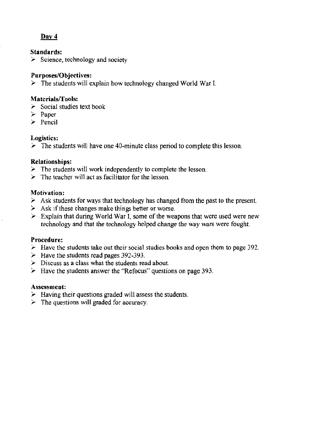#### Standards:

 $\geq$  Science, technology and society

#### Purposes/Objectives:

 $\triangleright$  The students will explain how technology changed World War L

#### Materials/Tools:

- $\geq$  Social studies text book
- $\geq$  Paper
- $\geq$  Pencil

#### Logistics:

 $\geq$  The students will have one 40-minute class period to complete this lesson.

#### Relationships:

- $\geq$  The students will work independently to complete the lesson.
- $\geq$  The teacher will act as facilitator for the lesson.

#### Motivation:

- $\geq$  Ask students for ways that technology has changed from the past to the present.
- $\triangleright$  Ask if these changes make things better or worse.
- $\geq$  Explain that during World War I, some of the weapons that were used were new technology and that the technology helped change the way wars were fought.

#### Procedure:

- $\geq$  Have the students take out their social studies books and open them to page 392.
- $\geq$  Have the students read pages 392-393.
- $\triangleright$  Discuss as a class what the students read about.
- $\geq$  Have the students answer the "Refocus" questions on page 393.

#### Assessment:

- $\blacktriangleright$  Having their questions graded will assess the students.
- $\triangleright$  The questions will graded for accuracy.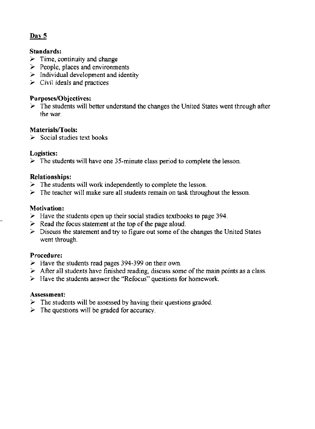#### Standards:

- $\geq$  Time, continuity and change
- $\geq$  People, places and environments
- $\triangleright$  Individual development and identity
- $\triangleright$  Civil ideals and practices

#### Purposes/Objectives:

 $\triangleright$  The students will better understand the changes the United States went through after the war.

#### Materials/Tools:

 $\ge$  Social studies text books

#### Logistics:

 $\triangleright$  The students will have one 35-minute class period to complete the lesson.

#### Relationships:

- $\geq$  The students will work independently to complete the lesson.
- $\triangleright$  The teacher will make sure all students remain on task throughout the lesson.

#### Motivation:

- $\geq$  Have the students open up their social studies textbooks to page 394.
- $\geq$  Read the focus statement at the top of the page aloud.
- $\geq$  Discuss the statement and try to figure out some of the changes the United States went through.

#### Procedure:

- $\blacktriangleright$  Have the students read pages 394-399 on their own.
- $\triangleright$  After all students have finished reading, discuss some of the main points as a class.
- $\triangleright$  Have the students answer the "Refocus" questions for homework.

#### Assessment:

- $\triangleright$  The students will be assessed by having their questions graded.
- $\triangleright$  The questions will be graded for accuracy.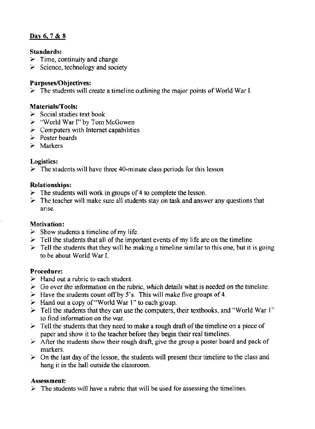#### Day 6, 7 & 8

#### Standards:

- $\geq$  Time, continuity and change
- $\geq$  Science, technology and society

#### Purposes/Objectives:

 $\geq$  The students will create a timeline outlining the major points of World War I.

#### Materials/Tools:

- $\geq$  Social studies text book
- $\geq$  "World War I" by Tom McGowen
- $\geq$  Computers with Internet capabilities
- $\geq$  Poster boards
- $\triangleright$  Markers

#### Logistics:

 $\triangleright$  The students will have three 40-minute class periods for this lesson

#### Relationships:

- $\geq$  The students will work in groups of 4 to complete the lesson.
- $\geq$  The teacher will make sure all students stay on task and answer any questions that arise.

#### Motivation:

- $\triangleright$  Show students a timeline of my life.
- $\triangleright$  Tell the students that all of the important events of my life are on the timeline.
- $\triangleright$  Tell the students that they will be making a timeline similar to this one, but it is going to be about World War I.

#### Procedure:

- $\triangleright$  Hand out a rubric to each student.
- $\triangleright$  Go over the information on the rubric, which details what is needed on the timeline.
- $\geq$  Have the students count off by 5's. This will make five groups of 4.
- *i*-Hand out a copy of "World War 1" to each group.
- $\geq$  Tell the students that they can use the computers, their textbooks, and "World War 1" to find information on the war.
- $\geq$  Tell the students that they need to make a rough draft of the timeline on a piece of paper and show it to the teacher before they begin their real timelines.
- $\triangleright$  After the students show their rough draft, give the group a poster board and pack of markers.
- $\geq$  On the last day of the lesson, the students will present their timeline to the class and hang it in the hall outside the classroom.

#### Assessment:

 $\triangleright$  The students will have a rubric that will be used for assessing the timelines.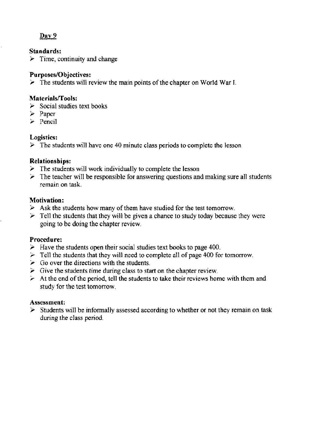#### Standards:

 $\geq$  Time, continuity and change

#### Purposes/Objectives:

 $\triangleright$  The students will review the main points of the chapter on World War I.

#### Materials/Tools:

- $\geq$  Social studies text books
- $\geq$  Paper
- $\geq$  Pencil

#### Logistics:

 $\triangleright$  The students will have one 40 minute class periods to complete the lesson

#### Relationships:

- $\geq$  The students will work individually to complete the lesson
- $\geq$  The teacher will be responsible for answering questions and making sure all students remain on task.

#### Motivation:

- $\triangleright$  Ask the students how many of them have studied for the test tomorrow.
- $\geq$  Tell the students that they will be given a chance to study today because they were going to be doing the chapter review.

#### Procedure:

- $\geq$  Have the students open their social studies text books to page 400.
- $\ge$  Tell the students that they will need to complete all of page 400 for tomorrow.
- $\geq$  Go over the directions with the students.
- $\geq$  Give the students time during class to start on the chapter review.
- $\geq$  At the end of the period, tell the students to take their reviews home with them and study for the test tomorrow.

#### Assessment:

 $\triangleright$  Students will be informally assessed according to whether or not they remain on task during the class period.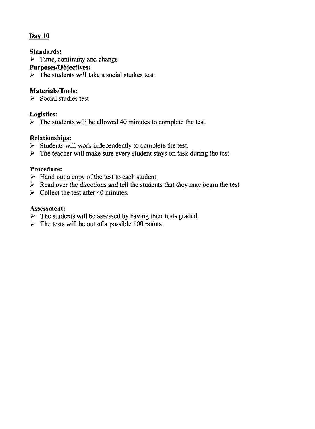#### Standards:

 $\geq$  Time, continuity and change

#### Purposes/Objectives:

 $\triangleright$  The students will take a social studies test.

#### Materials/Tools:

 $\geq$  Social studies test

#### Logistics:

 $\geq$  The students will be allowed 40 minutes to complete the test.

#### Relationships:

- $\triangleright$  Students will work independently to complete the test.
- $\geq$  The teacher will make sure every student stays on task during the test.

#### Procedure:

- $\geq$  Hand out a copy of the test to each student.
- $\geq$  Read over the directions and tell the students that they may begin the test.
- $\geq$  Collect the test after 40 minutes.

#### Assessment:

- $\geq$  The students will be assessed by having their tests graded.
- $\geq$  The tests will be out of a possible 100 points.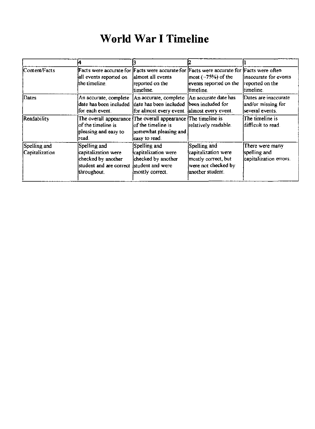#### World War I Timeline

| lContent/Facts                 | Facts were accurate for Facts were accurate for Facts were accurate for Facts were often<br>all events reported on<br>the timeline. | lalmost all events<br>reported on the<br>ltimeline.                                                                               | $ most (-75%)$ of the<br>events reported on the<br>timeline.                                          | linaccurate for events<br>reported on the<br>timeline.        |
|--------------------------------|-------------------------------------------------------------------------------------------------------------------------------------|-----------------------------------------------------------------------------------------------------------------------------------|-------------------------------------------------------------------------------------------------------|---------------------------------------------------------------|
| Dates                          | An accurate, complete<br>date has been included<br>for each event.                                                                  | An accurate, complete<br>date has been included<br>for almost every event. almost every event.                                    | An accurate date has<br>been included for                                                             | Dates are inaccurate<br>and/or missing for<br>several events. |
| Readability                    | $\log$ the timeline is $\log$<br>pleasing and easy to<br>read.                                                                      | The overall appearance The overall appearance The timeline is<br>lof the timeline is l<br>somewhat pleasing and<br>leasy to read. | relatively readable.                                                                                  | The timeline is<br>difficult to read.                         |
| Spelling and<br>Capitalization | Spelling and<br>capitalization were<br>checked by another<br>student and are correct<br>throughout.                                 | Spelling and<br>capitalization were<br>checked by another<br>student and were<br>mostly correct.                                  | Spelling and<br>capitalization were<br>mostly correct, but<br>were not checked by<br>another student. | There were many<br>spelling and<br>capitalization errors.     |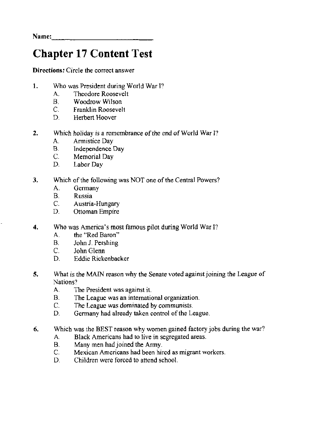Name: \_\_\_\_\_\_\_\_\_\_\_\_ \_

#### Chapter 17 Content Test

**Directions:** Circle the correct answer

- 1. Who was President during World War 17
	- A. Theodore Roosevelt<br>B. Woodrow Wilson
	- B. Woodrow Wilson<br>C. Franklin Roosevel
	- C. Franklin Roosevelt<br>D. Herbert Hoover
	- Herbert Hoover
- 2. Which holiday is a remembrance of the end of World War I?
	- A. Armistice Day
	- B, Independence Day
	- C. Memorial Day
	- D. Labor Day
- 3. Which of the following was NOT one of the Central Powers?
	- A. Germany<br>B. Russia
	- B. Russia<br>C. Austria
	- Austria-Hungary
	- D. Ottoman Empire
- **4.** Who was America's most famous pilot during World War I?
	- A. the "Red Baron"
	- B. John J. Pershing
	- C. John Glenn
	- D. Eddie Rickenbacker
- 5. What is the MAIN reason why the Senate voted against joining the League of Nations?
	- A. The President was against it.
	- B. The League was an international organization.
	- C. The League was dominated by communists.
	- D. Germany had already taken control of the League.
- 6. Which was the BEST reason why women gained factory jobs during the war?
	- A. Black Americans had to live in segregated areas.
	- B. Many men had joined the Army.
	- C. Mexican Americans had been hired as migrant workers.
	- D. Children were forced to attend school.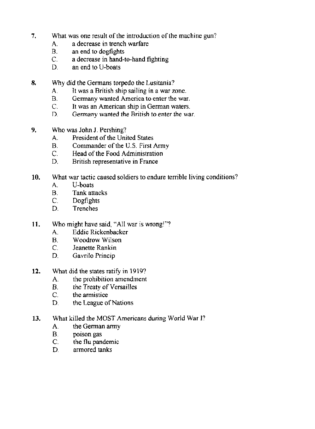- 7. What was one result of the introduction of the machine gun?
	- A. a decrease in trench warfare
	- B. an end to dogfights
	- C. a decrease in hand-to-hand fighting
	- D. an end to U-boats
- 8. Why did the Germans torpedo the Lusitania?
	- A. It was a British ship sailing in a war zone.
	- B. Germany wanted America to enter the war.
	- e. It was an American ship in German waters.
	- D. Germany wanted the British to enter the war.
- 9. Who was John J. Pershing?
	- A. President of the United States
	- B. Commander of the U.S. First Army
	- C. Head of the Food Administration
	- D. British representative in France
- 10. What war tactic caused soldiers to endure terrible living conditions?
	- A. **U-boats**
	- B. Tank attacks
	- C. Dogfights
	- D. Trenches
- **11.** Who might have said, "All war is wrong!"?
	- A Eddie Rickenbacker
	- B. Woodrow Wilson
	- C. Jeanette Rankin
	- D. Gavrilo Princip
- 12. What did the states ratify in 1919?
	- A. the prohibition amendment
	- B. the Treaty of Versailles
	- C. the armistice
	- D. the League of Nations
- 13. What killed the MOST Americans during World War I?
	- A. the German army
	- B. poison gas
	- C. the flu pandemic
	- D. armored tanks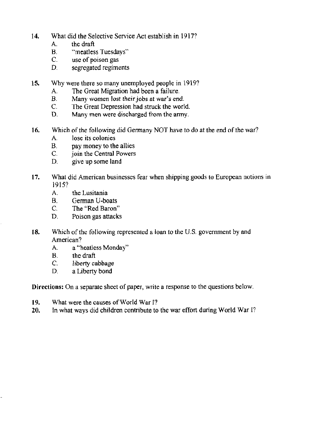- 14. What did the Selective Service Act establish in 1917?
	- A. the draft
	- **B. "meatless Tuesdays"**
	- **C. use of poison gas**
	- **D. segregated regiments**
- 15. Why were there so many unemployed people in 1919"
	- **A. The Great Migration had been a failure.**
	- **R Many women lost their jobs at war's end.**
	- **e.** The Great Depression had struck the world.<br> **D.** Many men were discharged from the army.
	- **D. Many men were discharged from the anny.**
- 16. Which of the following did Gennany NOT have to do at the end of the war?
	- **A lose its colonies**
	- **B. pay money to the allies**
	- join the Central Powers
	- **D. give up some land**
- **17. What did American businesses fear when shipping goods to European notions in**  1915?
	- A. **the Lusitania**
	- B. German U-boats
	- C. The "Red Baron"
	- **D. Poison gas attacks**
- **18.** Which of the following represented a loan to the U.S. government by and **American?** 
	- A. **a «heatless Monday"**
	- B. the draft
	- C. liberty cabbage
	- D. a Liberty bond

**Directions: On a separate sheet of paper, write a response to the questions below.** 

- **19. What were the causes** of World **War I?**
- **20. In what ways did children contribute to the war effort during World War I?**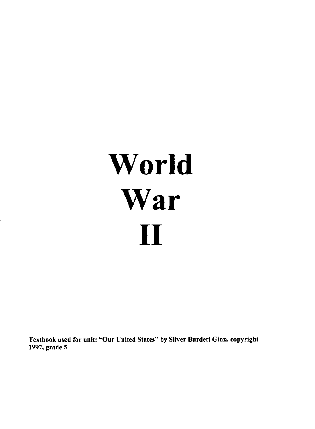# **World War II**

Textbook used for unit: "Our United States" by Silver Burdett Ginn, copyright 1997. grade 5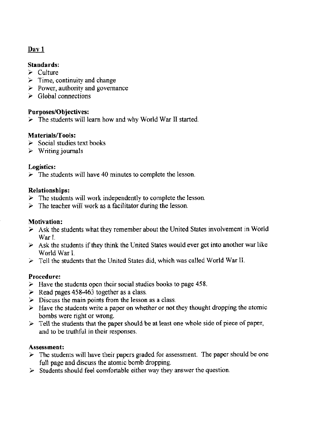#### Standards:

- $\ge$  Culture
- $\geq$  Time, continuity and change
- $\geq$  Power, authority and governance
- $\geq$  Global connections

#### Purposes/Objectives:

 $\triangleright$  The students will learn how and why World War II started.

#### Materials/Tools:

- $\triangleright$  Social studies text books
- *Y* Writing journals

#### Logistics:

 $\triangleright$  The students will have 40 minutes to complete the lesson.

#### Relationships:

- $\geq$  The students will work independently to complete the lesson.
- $\geq$  The teacher will work as a facilitator during the lesson.

#### Motivation:

- $\geq$  Ask the students what they remember about the United States involvement in World War I.
- $\geq$  Ask the students if they think the United States would ever get into another war like World War I.
- $\geq$  Tell the students that the United States did, which was called World War II.

#### Procedure:

- $\geq$  Have the students open their social studies books to page 458.
- $\geq$  Read pages 458-463 together as a class.
- $\geq$  Discuss the main points from the lesson as a class.
- $\geq$  Have the students write a paper on whether or not they thought dropping the atomic bombs were right or wrong.
- $\triangleright$  Tell the students that the paper should be at least one whole side of piece of paper, and to be truthful in their responses.

#### Assessment:

- $\geq$  The students will have their papers graded for assessment. The paper should be one full page and discuss the atomic bomb dropping.
- $\triangleright$  Students should feel comfortable either way they answer the question.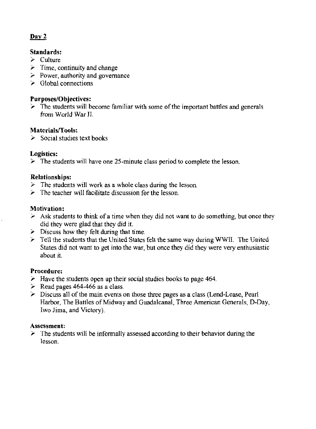#### Standards:

- $\geq$  Culture
- $\geq$  Time, continuity and change
- $\geq$  Power, authority and governance
- $\geq$  Global connections

#### **Purposes/Objectives:**

 $\triangleright$  The students will become familiar with some of the important battles and generals from World War II.

#### Materials/Tools:

 $\geq$  Social studies text books

#### Logistics:

 $\triangleright$  The students will have one 25-minute class period to complete the lesson.

#### Relationships:

- $\geq$  The students will work as a whole class during the lesson.
- $\geq$  The teacher will facilitate discussion for the lesson.

#### Motivation:

- $\geq$  Ask students to think of a time when they did not want to do something, but once they did they were glad that they did it.
- $\geq$  Discuss how they felt during that time.
- $\triangleright$  Tell the students that the United States felt the same way during WWII. The United States did not want to get into the war, but once they did they were very enthusiastic about it.

#### Procedure:

- $\geq$  Have the students open up their social studies books to page 464.
- $\geq$  Read pages 464-466 as a class.
- $\geq$  Discuss all of the main events on those three pages as a class (Lend-Lease, Pearl Harbor, The Battles of Midway and Guadalcanal, Three American Generals, D-Day, Iwo lima, and Victory).

#### Assessment:

 $\geq$  The students will be informally assessed according to their behavior during the lesson.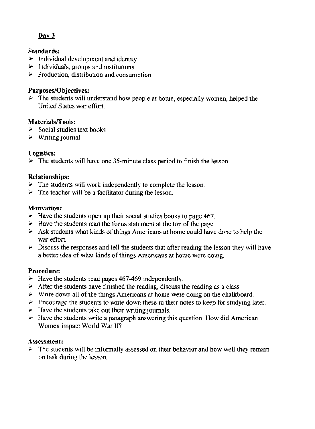#### Standards:

- $\geq$  Individual development and identity
- $\geq$  Individuals, groups and institutions
- $\geq$  Production, distribution and consumption

#### Purposes/Objectives:

 $\geq$  The students will understand how people at home, especially women, helped the United States war effort.

#### Materials/Tools:

- $\geq$  Social studies text books
- $\geq$  Writing journal

#### Logistics:

 $\triangleright$  The students will have one 35-minute class period to finish the lesson.

#### Relationships:

- $\triangleright$  The students will work independently to complete the lesson.
- $\geq$  The teacher will be a facilitator during the lesson.

#### Motivation:

- $\geq$  Have the students open up their social studies books to page 467.
- $\geq$  Have the students read the focus statement at the top of the page.
- $\geq$  Ask students what kinds of things Americans at home could have done to help the war effort.
- $\geq$  Discuss the responses and tell the students that after reading the lesson they will have a better idea of what kinds of things Americans at home were doing.

#### Procedure:

- $\geq$  Have the students read pages 467-469 independently.
- $\geq$  After the students have finished the reading, discuss the reading as a class.
- $\triangleright$  Write down all of the things Americans at home were doing on the chalkboard.
- $\geq$  Encourage the students to write down these in their notes to keep for studying later.
- $\geq$  Have the students take out their writing journals.
- $\geq$  Have the students write a paragraph answering this question: How did American Women impact World War II?

#### Assessment:

 $\geq$  The students will be informally assessed on their behavior and how well they remain on task during the lesson.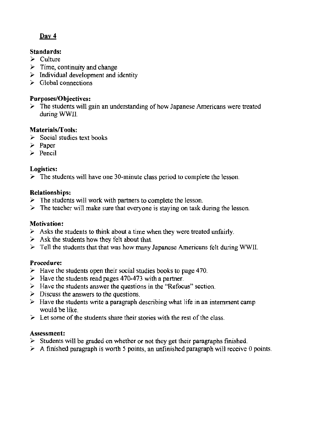#### Standards:

- $\ge$  Culture
- $\triangleright$  Time, continuity and change
- $\triangleright$  Individual development and identity
- $\geq$  Global connections

#### Purposes/Objectives:

 $\triangleright$  The students will gain an understanding of how Japanese Americans were treated during WWII.

#### Materials/Tools:

- $\geq$  Social studies text books
- $\geq$  Paper
- $\geq$  Pencil

#### Logistics:

 $\geq$  The students will have one 30-minute class period to complete the lesson.

#### Relationships:

- $\geq$  The students will work with partners to complete the lesson.
- $\geq$  The teacher will make sure that everyone is staying on task during the lesson.

#### Motivation:

- $\triangleright$  Asks the students to think about a time when they were treated unfairly.
- $\geq$  Ask the students how they felt about that.
- $\triangleright$  Tell the students that that was how many Japanese Americans felt during WWII.

#### Procedure:

- $\geq$  Have the students open their social studies books to page 470.
- $\geq$  Have the students read pages 470-473 with a partner.
- $\geq$  Have the students answer the questions in the "Refocus" section.
- $\geq$  Discuss the answers to the questions.
- $\geq$  Have the students write a paragraph describing what life in an internment camp would be like.
- $\geq$  Let some of the students share their stories with the rest of the class.

#### Assessment:

- $\geq$  Students will be graded on whether or not they get their paragraphs finished.
- $\geq$  A finished paragraph is worth 5 points, an unfinished paragraph will receive 0 points.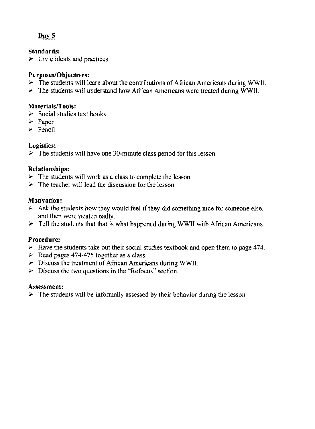#### Standards:

 $\geq$  Civic ideals and practices

#### Purposes/Objectives:

- $\triangleright$  The students will learn about the contributions of African Americans during WWII,
- $\geq$  The students will understand how African Americans were treated during WWII.

#### Materials/Tools:

- $\geq$  Social studies text books
- $\geq$  Paper
- $\triangleright$  Pencil

#### Logistics:

 $\triangleright$  The students will have one 30-minute class period for this lesson.

#### Relationships:

- $\triangleright$  The students will work as a class to complete the lesson.
- $\geq$  The teacher will lead the discussion for the lesson.

#### Motivation:

- $\geq$  Ask the students how they would feel if they did something nice for someone else, and then were treated badly.
- $\geq$  Tell the students that that is what happened during WWII with African Americans.

#### Procedure:

- $\geq$  Have the students take out their social studies textbook and open them to page 474.
- $\triangleright$  Read pages 474-475 together as a class.
- $\geq$  Discuss the treatment of African Americans during WWII.
- $\geq$  Discuss the two questions in the "Refocus" section.

#### Assessment:

 $\triangleright$  The students will be informally assessed by their behavior during the lesson.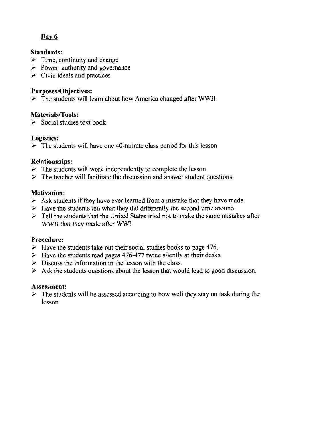#### Standards:

- $\geq$  Time, continuity and change
- $\ge$  Power, authority and governance
- $\triangleright$  Civic ideals and practices

#### Purposes/Objectives:

 $\geq$  The students will learn about how America changed after WWII.

#### Materials/Tools:

 $\geq$  Social studies text book

#### Logistics:

 $\geq$  The students will have one 40-minute class period for this lesson

#### Relationships:

- $\geq$  The students will work independently to complete the lesson.
- $\geq$  The teacher will facilitate the discussion and answer student questions.

#### Motivation:

- $\geq$  Ask students if they have ever learned from a mistake that they have made.
- $\geq$  Have the students tell what they did differently the second time around.
- $\geq$  Tell the students that the United States tried not to make the same mistakes after WWll that they made after WWI.

#### Procedure:

- $\geq$  Have the students take out their social studies books to page 476.
- $\blacktriangleright$  Have the students read pages 476-477 twice silently at their desks.
- $\geq$  Discuss the information in the lesson with the class.
- $\geq$  Ask the students questions about the lesson that would lead to good discussion.

#### Assessment:

 $\geq$  The students will be assessed according to how well they stay on task during the lesson.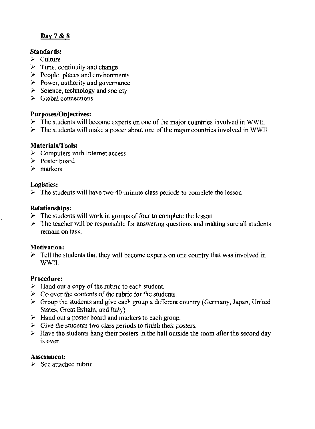#### Day 7 & 8

#### Standards:

- $\geq$  Culture
- $\geq$  Time, continuity and change
- $\triangleright$  People, places and environments
- $\triangleright$  Power, authority and governance
- $\geq$  Science, technology and society
- $\geq$  Global connections

#### Purposes/Objectives:

- $\geq$  The students will become experts on one of the major countries involved in WWII.
- $\geq$  The students will make a poster about one of the major countries involved in WWII.

#### Materials/Tools:

- $\geq$  Computers with Internet access
- $\ge$  Poster board
- $\geq$  markers

#### Logistics:

 $\triangleright$  The students will have two 40-minute class periods to complete the lesson

#### Relationships:

- $\geq$  The students will work in groups of four to complete the lesson
- $\geq$  The teacher will be responsible for answering questions and making sure all students remain on task.

#### Motivation:

 $\geq$  Tell the students that they will become experts on one country that was involved in WWIl.

#### Procedure:

- $\geq$  Hand out a copy of the rubric to each student.
- $\geq$  Go over the contents of the rubric for the students.
- $\triangleright$  Group the students and give each group a different country (Germany, Japan, United States, Great Britain, and Italy)
- $\geq$  Hand out a poster board and markers to each group.
- $\geq$  Give the students two class periods to finish their posters.
- $\geq$  Have the students hang their posters in the hall outside the room after the second day is over.

#### Assessment:

 $\geq$  See attached rubric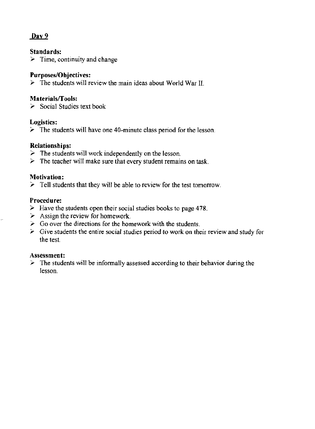#### Standards:

 $\geq$  Time, continuity and change

#### Purposes/Objectives:

 $\geq$  The students will review the main ideas about World War II.

#### Materials/Tools:

 $\geq$  Social Studies text book

#### Logistics:

 $\geq$  The students will have one 40-minute class period for the lesson.

#### Relationships:

- $\geq$  The students will work independently on the lesson.
- $\geq$  The teacher will make sure that every student remains on task.

#### Motivation:

 $\geq$  Tell students that they will be able to review for the test tomorrow.

#### Procedure:

- $\geq$  Have the students open their social studies books to page 478.
- $\geq$  Assign the review for homework.
- $\geq$  Go over the directions for the homework with the students.
- $\triangleright$  Give students the entire social studies period to work on their review and study for the test.

#### Assessment:

 $\geq$  The students will be informally assessed according to their behavior during the lesson.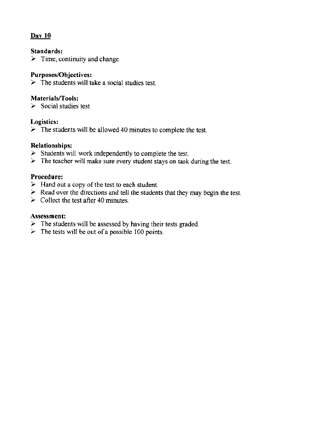#### Standards:

 $\geq$  Time, continuity and change

#### Purposes/Objectives:

 $\triangleright$  The students will take a social studies test.

#### Materials/Tools:

 $\geq$  Social studies test

#### Logistics:

 $\triangleright$  The students will be allowed 40 minutes to complete the test.

#### Relationships:

- $\triangleright$  Students will work independently to complete the test.
- $\triangleright$  The teacher will make sure every student stays on task during the test.

#### Procedure:

- $\triangleright$  Hand out a copy of the test to each student.
- > Read over the directions and *tell* the students that they may begin the test.
- $\geq$  Collect the test after 40 minutes.

#### Assessment:

- $\geq$  The students will be assessed by having their tests graded.
- $\geq$  The tests will be out of a possible 100 points.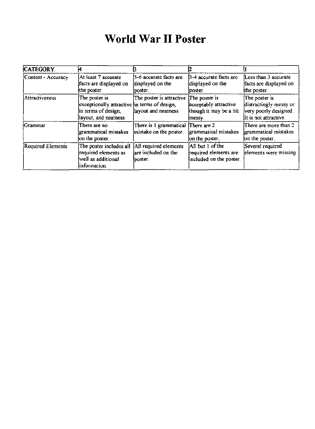#### World War II Poster

| <b>CATEGORY</b>    |                                                                                                               |                                                         |                                                                             |                                                                                           |
|--------------------|---------------------------------------------------------------------------------------------------------------|---------------------------------------------------------|-----------------------------------------------------------------------------|-------------------------------------------------------------------------------------------|
| Content - Accuracy | At least 7 accurate<br>facts are displayed on<br>the poster.                                                  | 5-6 accurate facts are<br>displayed on the<br>lposter.  | 3-4 accurate facts are<br>displayed on the<br>poster.                       | Less than 3 accurate<br>facts are displayed on<br>the poster.                             |
| Attractiveness     | The poster is<br>exceptionally attractive in terms of design,<br>in terms of design,<br>layout, and neatness. | The poster is attractive<br>layout and neatness.        | The poster is<br>acceptably attractive<br>though it may be a bit<br>{messy. | The poster is<br>distractingly messy or<br>very poorly designed.<br>It is not attractive. |
| Grammar            | There are no<br>grammatical mistakes<br>on the poster.                                                        | There is 1 grammatical<br>mistake on the poster.        | There are 2<br>grammatical mistakes<br>on the poster.                       | There are more than 2<br>grammatical mistakes<br>on the poster.                           |
| Required Elements  | The poster includes all<br>required elements as<br>well as additional<br>information.                         | All required elements<br>are included on the<br>poster. | All but 1 of the<br>required elements are<br>included on the poster.        | Several required<br>elements were missing.                                                |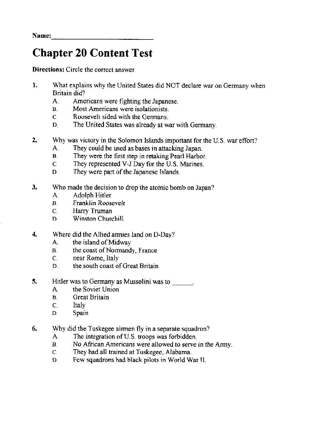Name: \_\_\_\_\_\_\_\_\_\_\_\_ \_

#### Chapter 20 Content Test

Directions: Circle the correct answer

- 1. What explains why the United States did NOT declare war on Germany when Britain did?
	- A. Americans were fighting the Japanese.
	- B. Most Americans were isolationists.
	- c Roosevelt sided with the Germans.
	- D. The United States was already at war with Germany.
- 2. Why was victory in the Solomon Islands important for the U.S. war effort?
	- A. They could be used as bases in attacking Japan.
	- B. They were the first step in retaking Pearl Harbor.
	- C They represented V-J Day for the U.S. Marines.
	- D. They were part of the Japanese Islands.
- 3. Who made the decision to drop the atomic bomb on Japan?
	- A. Adolph Hitler
	- B. Franklin Roosevelt
	- C, Harry Truman
	- D. Winston Churchill
- 4. Where did the Allied armies land on D-Day?
	- A. the island of Midway
	- B. the coast of Normandy, France
	- c. near Rome, Italy
	- D, the south coast of Great Britain
- 5. Hitler was to Germany as Mussolini was to  $\frac{1}{1}$ .
	- the Soviet Union
	- B. Great Britain
	- C. Italy
	- D Spain
- 6. Why did the Tuskegee airmen fly in a separate squadron?
	- A. The integration of U.S. troops was forbidden.
	- B. No African Americans were allowed to serve in the Anny.
	- e They had all trained at Tuskegee, Alabama.
	- D. Few squadrons had black pilots in World War II.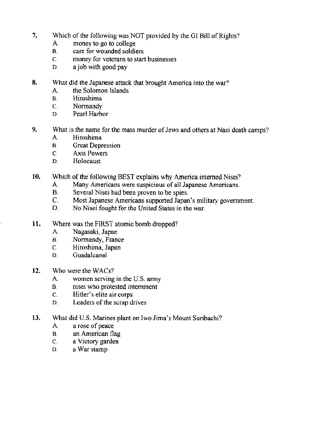- 7. Which of the following was NOT provided by the GI Bill of Rights?
	- A. money to go to college
	- 8. care for wounded soldiers
	- C, money for veterans to start businesses
	- $D$  a job with good pay
- 8. What did the Japanese attack that brought America into the war?
	- A. the Solomon Islands
	- B. Hiroshima
	- c. Normandy
	- D Pearl Harbor
- 9. What is the name for the mass murder of Jews and others at Nazi death camps?
	- A. Hiroshima
	- B. Great Depression
	- C. Axis Powers
	- D. Holocaust
- 10. Which of the following BEST explains why America interned Nisei?
	- A. Many Americans were suspicious of all Japanese Americans.
	- B. Several Nisei had been proven to be spies.
	- C. Most Japanese Americans supported Japan's military government.
	- D. No Nisei fought for the United States in the war.
- 11. Where was the FIRST atomic bomb dropped?
	- A Nagasaki, Japan
	- B. Normandy, France
	- c. Hiroshima, Japan
	- D. Guada1canal
- 12. Who were the WACs?
	- A. women serving in the U.S. army
	- B. nisei who protested internment
	- c. Hitler's elite air corps
	- D, Leaders of the scrap drives
- 13. What did U.S. Marines plant on Iwo Jima's Mount Suribachi?
	- A. a rose of peace
	- B. an American flag
	- c. a Victory garden
	- D, a War stamp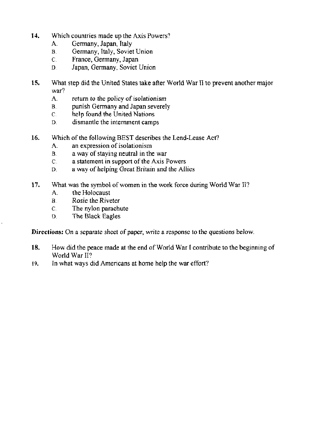- 14. Which countries made up the Axis Powers?
	- A. Germany, Japan, Italy
	- 5. Germany, Italy, Soviet Union
	- C. France, Germany, Japan
	- D. Japan, Germany, Soviet Union
- 15. What step did the United States take after World War  $\Pi$  to prevent another major war?
	- A. return to the policy of isolationism
	- B. punish Germany and Japan severely
	- C. help found the United Nations
	- D. dismantle the internment camps
- 16. Which of the following BEST describes the Lend-Lease Act'
	- A. an expression of isolationism
	- B. a way of staying neutral in the war
	- C. a statement in support of the Axis Powers
	- D. a way of helping Great Britain and the Allies
- 17. What was the symbol of women in the work force during World War II?
	- A. the Holocaust
	- B. Rosie the Riveter
	- c. The nylon parachute
	- D. The Black Eagles

Directions: On a separate sheet of paper, write a response to the questions below.

- 18. How did the peace made at the end of World War I contribute to the beginning of World War II?
- 19. In what ways did Americans at home help the war effort?